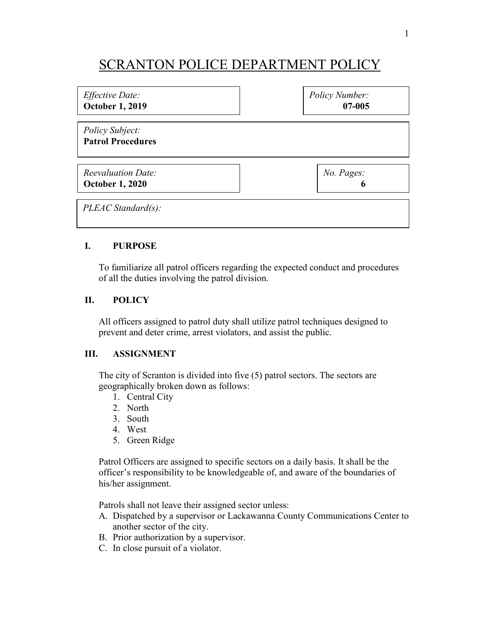# SCRANTON POLICE DEPARTMENT POLICY

| <i>Effective Date:</i>                      | Policy Number: |
|---------------------------------------------|----------------|
| <b>October 1, 2019</b>                      | $07 - 005$     |
| Policy Subject:<br><b>Patrol Procedures</b> |                |
| <b>Reevaluation Date:</b>                   | No. Pages:     |
| <b>October 1, 2020</b>                      | 6              |
| $PLEAC Standard(s)$ :                       |                |

### **I. PURPOSE**

To familiarize all patrol officers regarding the expected conduct and procedures of all the duties involving the patrol division.

#### **II. POLICY**

All officers assigned to patrol duty shall utilize patrol techniques designed to prevent and deter crime, arrest violators, and assist the public.

### **III. ASSIGNMENT**

The city of Scranton is divided into five (5) patrol sectors. The sectors are geographically broken down as follows:

- 1. Central City
- 2. North
- 3. South
- 4. West
- 5. Green Ridge

Patrol Officers are assigned to specific sectors on a daily basis. It shall be the officer's responsibility to be knowledgeable of, and aware of the boundaries of his/her assignment.

Patrols shall not leave their assigned sector unless:

- A. Dispatched by a supervisor or Lackawanna County Communications Center to another sector of the city.
- B. Prior authorization by a supervisor.
- C. In close pursuit of a violator.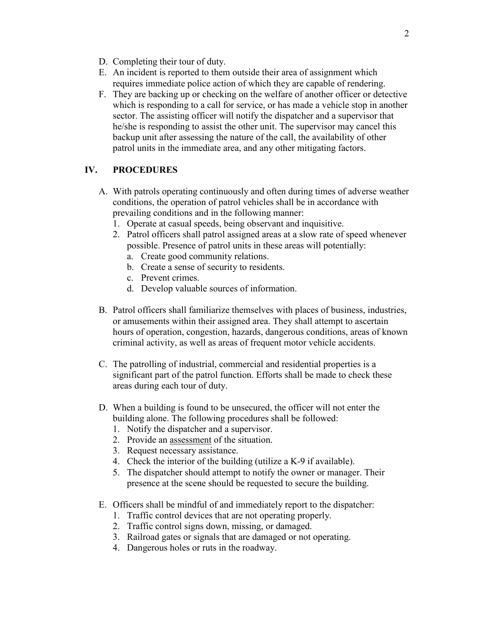- D. Completing their tour of duty.
- E. An incident is reported to them outside their area of assignment which requires immediate police action of which they are capable of rendering.
- F. They are backing up or checking on the welfare of another officer or detective which is responding to a call for service, or has made a vehicle stop in another sector. The assisting officer will notify the dispatcher and a supervisor that he/she is responding to assist the other unit. The supervisor may cancel this backup unit after assessing the nature of the call, the availability of other patrol units in the immediate area, and any other mitigating factors.

### **IV. PROCEDURES**

- A. With patrols operating continuously and often during times of adverse weather conditions, the operation of patrol vehicles shall be in accordance with prevailing conditions and in the following manner:
	- 1. Operate at casual speeds, being observant and inquisitive.
	- 2. Patrol officers shall patrol assigned areas at a slow rate of speed whenever possible. Presence of patrol units in these areas will potentially:
		- a. Create good community relations.
		- b. Create a sense of security to residents.
		- c. Prevent crimes.
		- d. Develop valuable sources of information.
- B. Patrol officers shall familiarize themselves with places of business, industries, or amusements within their assigned area. They shall attempt to ascertain hours of operation, congestion, hazards, dangerous conditions, areas of known criminal activity, as well as areas of frequent motor vehicle accidents.
- C. The patrolling of industrial, commercial and residential properties is a significant part of the patrol function. Efforts shall be made to check these areas during each tour of duty.
- D. When a building is found to be unsecured, the officer will not enter the building alone. The following procedures shall be followed:
	- 1. Notify the dispatcher and a supervisor.
	- 2. Provide an assessment of the situation.
	- 3. Request necessary assistance.
	- 4. Check the interior of the building (utilize a K-9 if available).
	- 5. The dispatcher should attempt to notify the owner or manager. Their presence at the scene should be requested to secure the building.
- E. Officers shall be mindful of and immediately report to the dispatcher:
	- 1. Traffic control devices that are not operating properly.
	- 2. Traffic control signs down, missing, or damaged.
	- 3. Railroad gates or signals that are damaged or not operating.
	- 4. Dangerous holes or ruts in the roadway.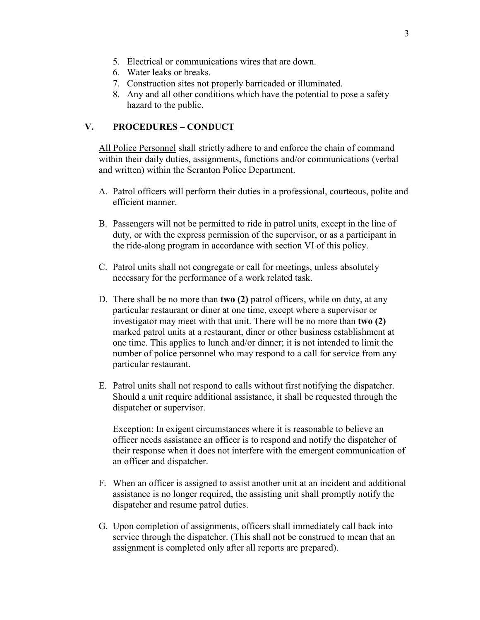- 5. Electrical or communications wires that are down.
- 6. Water leaks or breaks.
- 7. Construction sites not properly barricaded or illuminated.
- 8. Any and all other conditions which have the potential to pose a safety hazard to the public.

## **V. PROCEDURES – CONDUCT**

All Police Personnel shall strictly adhere to and enforce the chain of command within their daily duties, assignments, functions and/or communications (verbal and written) within the Scranton Police Department.

- A. Patrol officers will perform their duties in a professional, courteous, polite and efficient manner.
- B. Passengers will not be permitted to ride in patrol units, except in the line of duty, or with the express permission of the supervisor, or as a participant in the ride-along program in accordance with section VI of this policy.
- C. Patrol units shall not congregate or call for meetings, unless absolutely necessary for the performance of a work related task.
- D. There shall be no more than **two (2)** patrol officers, while on duty, at any particular restaurant or diner at one time, except where a supervisor or investigator may meet with that unit. There will be no more than **two (2)** marked patrol units at a restaurant, diner or other business establishment at one time. This applies to lunch and/or dinner; it is not intended to limit the number of police personnel who may respond to a call for service from any particular restaurant.
- E. Patrol units shall not respond to calls without first notifying the dispatcher. Should a unit require additional assistance, it shall be requested through the dispatcher or supervisor.

Exception: In exigent circumstances where it is reasonable to believe an officer needs assistance an officer is to respond and notify the dispatcher of their response when it does not interfere with the emergent communication of an officer and dispatcher.

- F. When an officer is assigned to assist another unit at an incident and additional assistance is no longer required, the assisting unit shall promptly notify the dispatcher and resume patrol duties.
- G. Upon completion of assignments, officers shall immediately call back into service through the dispatcher. (This shall not be construed to mean that an assignment is completed only after all reports are prepared).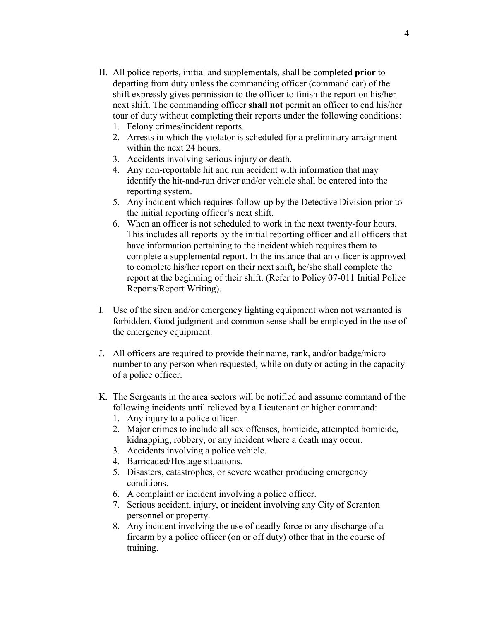- H. All police reports, initial and supplementals, shall be completed **prior** to departing from duty unless the commanding officer (command car) of the shift expressly gives permission to the officer to finish the report on his/her next shift. The commanding officer **shall not** permit an officer to end his/her tour of duty without completing their reports under the following conditions:
	- 1. Felony crimes/incident reports.
	- 2. Arrests in which the violator is scheduled for a preliminary arraignment within the next 24 hours.
	- 3. Accidents involving serious injury or death.
	- 4. Any non-reportable hit and run accident with information that may identify the hit-and-run driver and/or vehicle shall be entered into the reporting system.
	- 5. Any incident which requires follow-up by the Detective Division prior to the initial reporting officer's next shift.
	- 6. When an officer is not scheduled to work in the next twenty-four hours. This includes all reports by the initial reporting officer and all officers that have information pertaining to the incident which requires them to complete a supplemental report. In the instance that an officer is approved to complete his/her report on their next shift, he/she shall complete the report at the beginning of their shift. (Refer to Policy 07-011 Initial Police Reports/Report Writing).
- I. Use of the siren and/or emergency lighting equipment when not warranted is forbidden. Good judgment and common sense shall be employed in the use of the emergency equipment.
- J. All officers are required to provide their name, rank, and/or badge/micro number to any person when requested, while on duty or acting in the capacity of a police officer.
- K. The Sergeants in the area sectors will be notified and assume command of the following incidents until relieved by a Lieutenant or higher command:
	- 1. Any injury to a police officer.
	- 2. Major crimes to include all sex offenses, homicide, attempted homicide, kidnapping, robbery, or any incident where a death may occur.
	- 3. Accidents involving a police vehicle.
	- 4. Barricaded/Hostage situations.
	- 5. Disasters, catastrophes, or severe weather producing emergency conditions.
	- 6. A complaint or incident involving a police officer.
	- 7. Serious accident, injury, or incident involving any City of Scranton personnel or property.
	- 8. Any incident involving the use of deadly force or any discharge of a firearm by a police officer (on or off duty) other that in the course of training.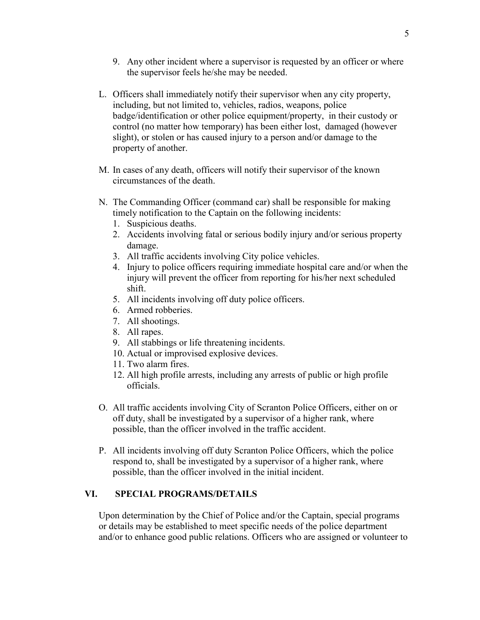- 9. Any other incident where a supervisor is requested by an officer or where the supervisor feels he/she may be needed.
- L. Officers shall immediately notify their supervisor when any city property, including, but not limited to, vehicles, radios, weapons, police badge/identification or other police equipment/property, in their custody or control (no matter how temporary) has been either lost, damaged (however slight), or stolen or has caused injury to a person and/or damage to the property of another.
- M. In cases of any death, officers will notify their supervisor of the known circumstances of the death.
- N. The Commanding Officer (command car) shall be responsible for making timely notification to the Captain on the following incidents:
	- 1. Suspicious deaths.
	- 2. Accidents involving fatal or serious bodily injury and/or serious property damage.
	- 3. All traffic accidents involving City police vehicles.
	- 4. Injury to police officers requiring immediate hospital care and/or when the injury will prevent the officer from reporting for his/her next scheduled shift.
	- 5. All incidents involving off duty police officers.
	- 6. Armed robberies.
	- 7. All shootings.
	- 8. All rapes.
	- 9. All stabbings or life threatening incidents.
	- 10. Actual or improvised explosive devices.
	- 11. Two alarm fires.
	- 12. All high profile arrests, including any arrests of public or high profile officials.
- O. All traffic accidents involving City of Scranton Police Officers, either on or off duty, shall be investigated by a supervisor of a higher rank, where possible, than the officer involved in the traffic accident.
- P. All incidents involving off duty Scranton Police Officers, which the police respond to, shall be investigated by a supervisor of a higher rank, where possible, than the officer involved in the initial incident.

### **VI. SPECIAL PROGRAMS/DETAILS**

Upon determination by the Chief of Police and/or the Captain, special programs or details may be established to meet specific needs of the police department and/or to enhance good public relations. Officers who are assigned or volunteer to